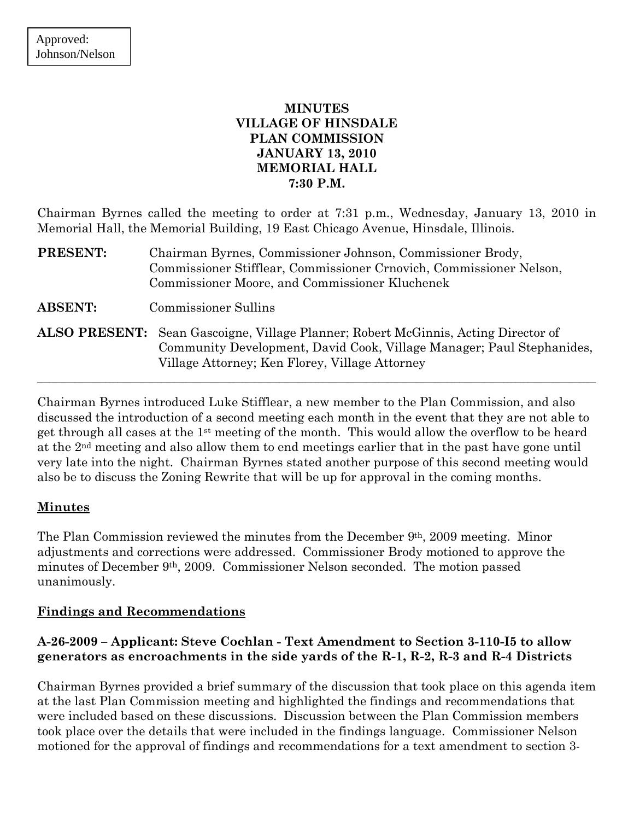## **MINUTES VILLAGE OF HINSDALE PLAN COMMISSION JANUARY 13, 2010 MEMORIAL HALL 7:30 P.M.**

Chairman Byrnes called the meeting to order at 7:31 p.m., Wednesday, January 13, 2010 in Memorial Hall, the Memorial Building, 19 East Chicago Avenue, Hinsdale, Illinois.

- **PRESENT:** Chairman Byrnes, Commissioner Johnson, Commissioner Brody, Commissioner Stifflear, Commissioner Crnovich, Commissioner Nelson, Commissioner Moore, and Commissioner Kluchenek **ABSENT:** Commissioner Sullins **ALSO PRESENT:** Sean Gascoigne, Village Planner; Robert McGinnis, Acting Director of
- Community Development, David Cook, Village Manager; Paul Stephanides, Village Attorney; Ken Florey, Village Attorney

 $\_$  , and the set of the set of the set of the set of the set of the set of the set of the set of the set of the set of the set of the set of the set of the set of the set of the set of the set of the set of the set of th

Chairman Byrnes introduced Luke Stifflear, a new member to the Plan Commission, and also discussed the introduction of a second meeting each month in the event that they are not able to get through all cases at the 1st meeting of the month. This would allow the overflow to be heard at the 2nd meeting and also allow them to end meetings earlier that in the past have gone until very late into the night. Chairman Byrnes stated another purpose of this second meeting would also be to discuss the Zoning Rewrite that will be up for approval in the coming months.

### **Minutes**

The Plan Commission reviewed the minutes from the December 9th, 2009 meeting. Minor adjustments and corrections were addressed. Commissioner Brody motioned to approve the minutes of December 9th, 2009. Commissioner Nelson seconded. The motion passed unanimously.

# **Findings and Recommendations**

## **A-26-2009 – Applicant: Steve Cochlan - Text Amendment to Section 3-110-I5 to allow generators as encroachments in the side yards of the R-1, R-2, R-3 and R-4 Districts**

Chairman Byrnes provided a brief summary of the discussion that took place on this agenda item at the last Plan Commission meeting and highlighted the findings and recommendations that were included based on these discussions. Discussion between the Plan Commission members took place over the details that were included in the findings language. Commissioner Nelson motioned for the approval of findings and recommendations for a text amendment to section 3-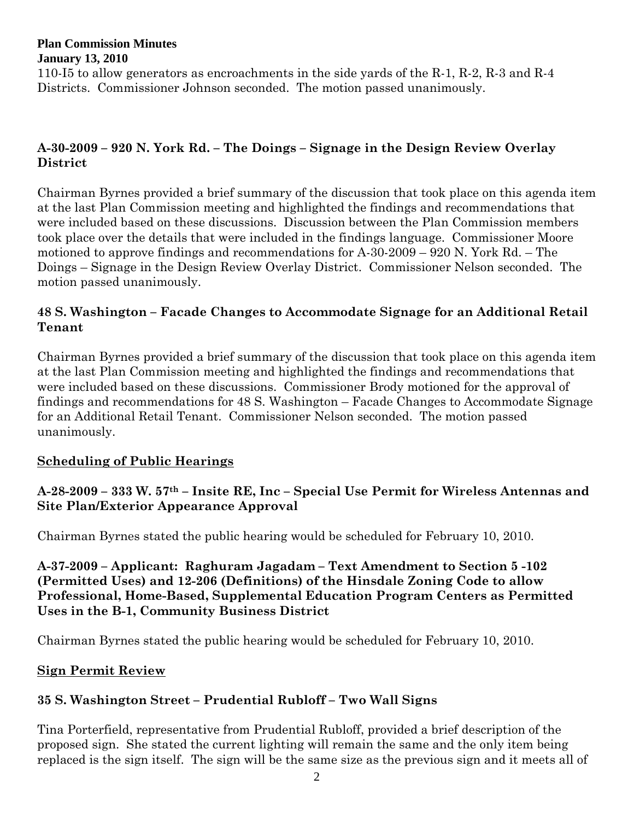110-I5 to allow generators as encroachments in the side yards of the R-1, R-2, R-3 and R-4 Districts. Commissioner Johnson seconded. The motion passed unanimously.

# **A-30-2009 – 920 N. York Rd. – The Doings – Signage in the Design Review Overlay District**

Chairman Byrnes provided a brief summary of the discussion that took place on this agenda item at the last Plan Commission meeting and highlighted the findings and recommendations that were included based on these discussions. Discussion between the Plan Commission members took place over the details that were included in the findings language. Commissioner Moore motioned to approve findings and recommendations for A-30-2009 – 920 N. York Rd. – The Doings – Signage in the Design Review Overlay District. Commissioner Nelson seconded. The motion passed unanimously.

## **48 S. Washington – Facade Changes to Accommodate Signage for an Additional Retail Tenant**

Chairman Byrnes provided a brief summary of the discussion that took place on this agenda item at the last Plan Commission meeting and highlighted the findings and recommendations that were included based on these discussions. Commissioner Brody motioned for the approval of findings and recommendations for 48 S. Washington – Facade Changes to Accommodate Signage for an Additional Retail Tenant. Commissioner Nelson seconded. The motion passed unanimously.

### **Scheduling of Public Hearings**

## **A-28-2009 – 333 W. 57th – Insite RE, Inc – Special Use Permit for Wireless Antennas and Site Plan/Exterior Appearance Approval**

Chairman Byrnes stated the public hearing would be scheduled for February 10, 2010.

**A-37-2009 – Applicant: Raghuram Jagadam – Text Amendment to Section 5 -102 (Permitted Uses) and 12-206 (Definitions) of the Hinsdale Zoning Code to allow Professional, Home-Based, Supplemental Education Program Centers as Permitted Uses in the B-1, Community Business District** 

Chairman Byrnes stated the public hearing would be scheduled for February 10, 2010.

# **Sign Permit Review**

# **35 S. Washington Street – Prudential Rubloff – Two Wall Signs**

Tina Porterfield, representative from Prudential Rubloff, provided a brief description of the proposed sign. She stated the current lighting will remain the same and the only item being replaced is the sign itself. The sign will be the same size as the previous sign and it meets all of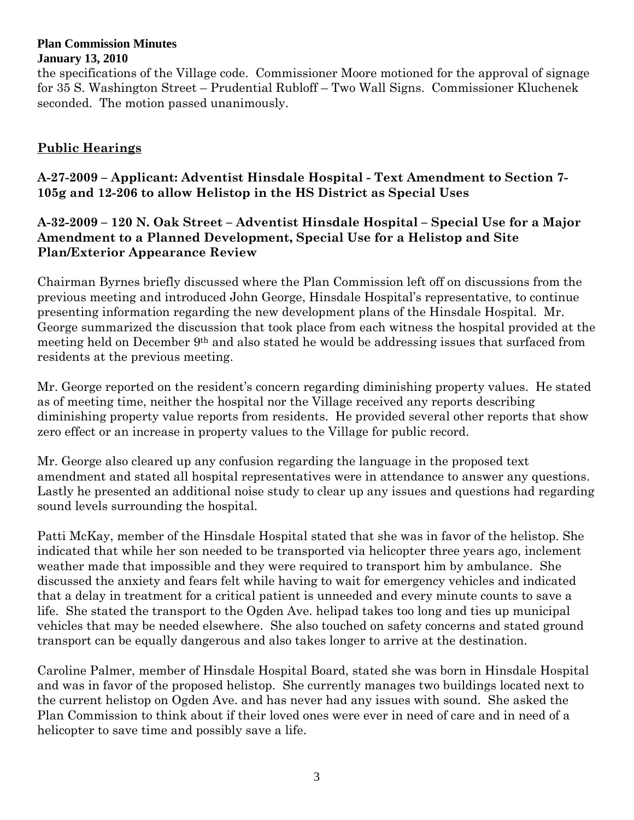the specifications of the Village code. Commissioner Moore motioned for the approval of signage for 35 S. Washington Street – Prudential Rubloff – Two Wall Signs. Commissioner Kluchenek seconded. The motion passed unanimously.

## **Public Hearings**

**A-27-2009 – Applicant: Adventist Hinsdale Hospital - Text Amendment to Section 7- 105g and 12-206 to allow Helistop in the HS District as Special Uses** 

### **A-32-2009 – 120 N. Oak Street – Adventist Hinsdale Hospital – Special Use for a Major Amendment to a Planned Development, Special Use for a Helistop and Site Plan/Exterior Appearance Review**

Chairman Byrnes briefly discussed where the Plan Commission left off on discussions from the previous meeting and introduced John George, Hinsdale Hospital's representative, to continue presenting information regarding the new development plans of the Hinsdale Hospital. Mr. George summarized the discussion that took place from each witness the hospital provided at the meeting held on December 9th and also stated he would be addressing issues that surfaced from residents at the previous meeting.

Mr. George reported on the resident's concern regarding diminishing property values. He stated as of meeting time, neither the hospital nor the Village received any reports describing diminishing property value reports from residents. He provided several other reports that show zero effect or an increase in property values to the Village for public record.

Mr. George also cleared up any confusion regarding the language in the proposed text amendment and stated all hospital representatives were in attendance to answer any questions. Lastly he presented an additional noise study to clear up any issues and questions had regarding sound levels surrounding the hospital.

Patti McKay, member of the Hinsdale Hospital stated that she was in favor of the helistop. She indicated that while her son needed to be transported via helicopter three years ago, inclement weather made that impossible and they were required to transport him by ambulance. She discussed the anxiety and fears felt while having to wait for emergency vehicles and indicated that a delay in treatment for a critical patient is unneeded and every minute counts to save a life. She stated the transport to the Ogden Ave. helipad takes too long and ties up municipal vehicles that may be needed elsewhere. She also touched on safety concerns and stated ground transport can be equally dangerous and also takes longer to arrive at the destination.

Caroline Palmer, member of Hinsdale Hospital Board, stated she was born in Hinsdale Hospital and was in favor of the proposed helistop. She currently manages two buildings located next to the current helistop on Ogden Ave. and has never had any issues with sound. She asked the Plan Commission to think about if their loved ones were ever in need of care and in need of a helicopter to save time and possibly save a life.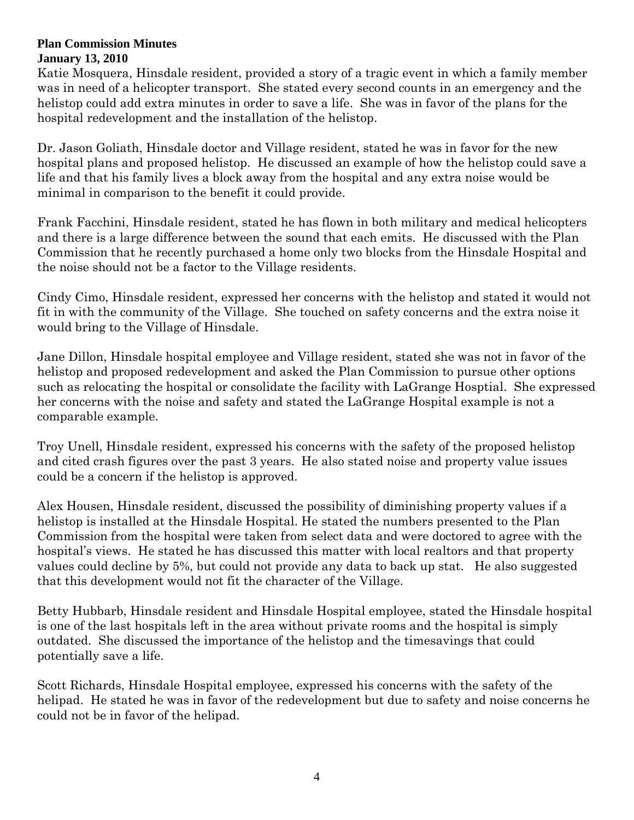Katie Mosquera, Hinsdale resident, provided a story of a tragic event in which a family member was in need of a helicopter transport. She stated every second counts in an emergency and the helistop could add extra minutes in order to save a life. She was in favor of the plans for the hospital redevelopment and the installation of the helistop.

Dr. Jason Goliath, Hinsdale doctor and Village resident, stated he was in favor for the new hospital plans and proposed helistop. He discussed an example of how the helistop could save a life and that his family lives a block away from the hospital and any extra noise would be minimal in comparison to the benefit it could provide.

Frank Facchini, Hinsdale resident, stated he has flown in both military and medical helicopters and there is a large difference between the sound that each emits. He discussed with the Plan Commission that he recently purchased a home only two blocks from the Hinsdale Hospital and the noise should not be a factor to the Village residents.

Cindy Cimo, Hinsdale resident, expressed her concerns with the helistop and stated it would not fit in with the community of the Village. She touched on safety concerns and the extra noise it would bring to the Village of Hinsdale.

Jane Dillon, Hinsdale hospital employee and Village resident, stated she was not in favor of the helistop and proposed redevelopment and asked the Plan Commission to pursue other options such as relocating the hospital or consolidate the facility with LaGrange Hosptial. She expressed her concerns with the noise and safety and stated the LaGrange Hospital example is not a comparable example.

Troy Unell, Hinsdale resident, expressed his concerns with the safety of the proposed helistop and cited crash figures over the past 3 years. He also stated noise and property value issues could be a concern if the helistop is approved.

Alex Housen, Hinsdale resident, discussed the possibility of diminishing property values if a helistop is installed at the Hinsdale Hospital. He stated the numbers presented to the Plan Commission from the hospital were taken from select data and were doctored to agree with the hospital's views. He stated he has discussed this matter with local realtors and that property values could decline by 5%, but could not provide any data to back up stat. He also suggested that this development would not fit the character of the Village.

Betty Hubbarb, Hinsdale resident and Hinsdale Hospital employee, stated the Hinsdale hospital is one of the last hospitals left in the area without private rooms and the hospital is simply outdated. She discussed the importance of the helistop and the timesavings that could potentially save a life.

Scott Richards, Hinsdale Hospital employee, expressed his concerns with the safety of the helipad. He stated he was in favor of the redevelopment but due to safety and noise concerns he could not be in favor of the helipad.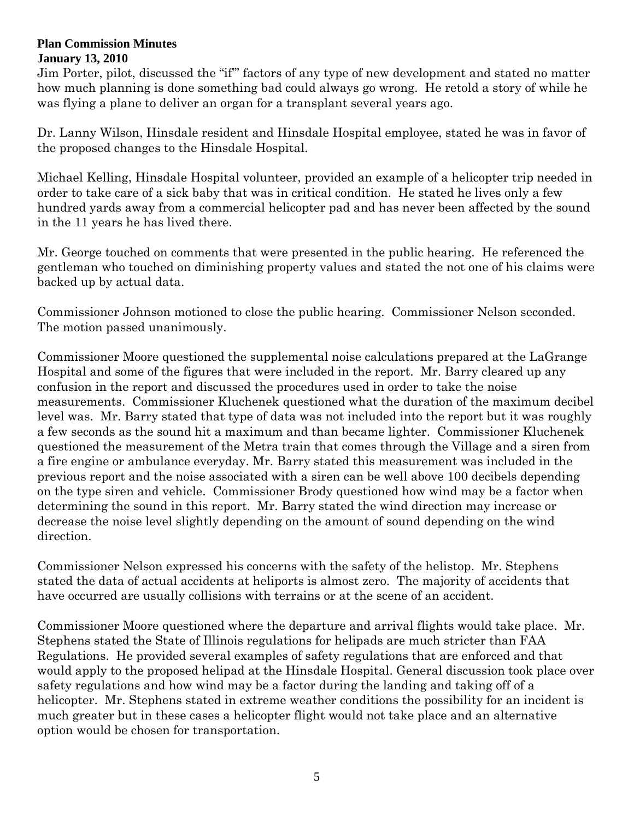Jim Porter, pilot, discussed the "if'" factors of any type of new development and stated no matter how much planning is done something bad could always go wrong. He retold a story of while he was flying a plane to deliver an organ for a transplant several years ago.

Dr. Lanny Wilson, Hinsdale resident and Hinsdale Hospital employee, stated he was in favor of the proposed changes to the Hinsdale Hospital.

Michael Kelling, Hinsdale Hospital volunteer, provided an example of a helicopter trip needed in order to take care of a sick baby that was in critical condition. He stated he lives only a few hundred yards away from a commercial helicopter pad and has never been affected by the sound in the 11 years he has lived there.

Mr. George touched on comments that were presented in the public hearing. He referenced the gentleman who touched on diminishing property values and stated the not one of his claims were backed up by actual data.

Commissioner Johnson motioned to close the public hearing. Commissioner Nelson seconded. The motion passed unanimously.

Commissioner Moore questioned the supplemental noise calculations prepared at the LaGrange Hospital and some of the figures that were included in the report. Mr. Barry cleared up any confusion in the report and discussed the procedures used in order to take the noise measurements. Commissioner Kluchenek questioned what the duration of the maximum decibel level was. Mr. Barry stated that type of data was not included into the report but it was roughly a few seconds as the sound hit a maximum and than became lighter. Commissioner Kluchenek questioned the measurement of the Metra train that comes through the Village and a siren from a fire engine or ambulance everyday. Mr. Barry stated this measurement was included in the previous report and the noise associated with a siren can be well above 100 decibels depending on the type siren and vehicle. Commissioner Brody questioned how wind may be a factor when determining the sound in this report. Mr. Barry stated the wind direction may increase or decrease the noise level slightly depending on the amount of sound depending on the wind direction.

Commissioner Nelson expressed his concerns with the safety of the helistop. Mr. Stephens stated the data of actual accidents at heliports is almost zero. The majority of accidents that have occurred are usually collisions with terrains or at the scene of an accident.

Commissioner Moore questioned where the departure and arrival flights would take place. Mr. Stephens stated the State of Illinois regulations for helipads are much stricter than FAA Regulations. He provided several examples of safety regulations that are enforced and that would apply to the proposed helipad at the Hinsdale Hospital. General discussion took place over safety regulations and how wind may be a factor during the landing and taking off of a helicopter. Mr. Stephens stated in extreme weather conditions the possibility for an incident is much greater but in these cases a helicopter flight would not take place and an alternative option would be chosen for transportation.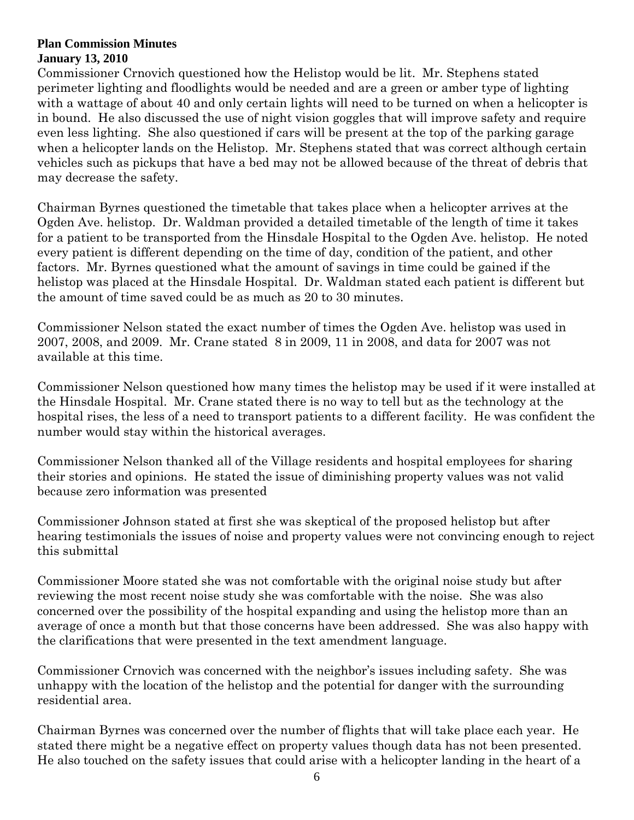Commissioner Crnovich questioned how the Helistop would be lit. Mr. Stephens stated perimeter lighting and floodlights would be needed and are a green or amber type of lighting with a wattage of about 40 and only certain lights will need to be turned on when a helicopter is in bound. He also discussed the use of night vision goggles that will improve safety and require even less lighting. She also questioned if cars will be present at the top of the parking garage when a helicopter lands on the Helistop. Mr. Stephens stated that was correct although certain vehicles such as pickups that have a bed may not be allowed because of the threat of debris that may decrease the safety.

Chairman Byrnes questioned the timetable that takes place when a helicopter arrives at the Ogden Ave. helistop. Dr. Waldman provided a detailed timetable of the length of time it takes for a patient to be transported from the Hinsdale Hospital to the Ogden Ave. helistop. He noted every patient is different depending on the time of day, condition of the patient, and other factors. Mr. Byrnes questioned what the amount of savings in time could be gained if the helistop was placed at the Hinsdale Hospital. Dr. Waldman stated each patient is different but the amount of time saved could be as much as 20 to 30 minutes.

Commissioner Nelson stated the exact number of times the Ogden Ave. helistop was used in 2007, 2008, and 2009. Mr. Crane stated 8 in 2009, 11 in 2008, and data for 2007 was not available at this time.

Commissioner Nelson questioned how many times the helistop may be used if it were installed at the Hinsdale Hospital. Mr. Crane stated there is no way to tell but as the technology at the hospital rises, the less of a need to transport patients to a different facility. He was confident the number would stay within the historical averages.

Commissioner Nelson thanked all of the Village residents and hospital employees for sharing their stories and opinions. He stated the issue of diminishing property values was not valid because zero information was presented

Commissioner Johnson stated at first she was skeptical of the proposed helistop but after hearing testimonials the issues of noise and property values were not convincing enough to reject this submittal

Commissioner Moore stated she was not comfortable with the original noise study but after reviewing the most recent noise study she was comfortable with the noise. She was also concerned over the possibility of the hospital expanding and using the helistop more than an average of once a month but that those concerns have been addressed. She was also happy with the clarifications that were presented in the text amendment language.

Commissioner Crnovich was concerned with the neighbor's issues including safety. She was unhappy with the location of the helistop and the potential for danger with the surrounding residential area.

Chairman Byrnes was concerned over the number of flights that will take place each year. He stated there might be a negative effect on property values though data has not been presented. He also touched on the safety issues that could arise with a helicopter landing in the heart of a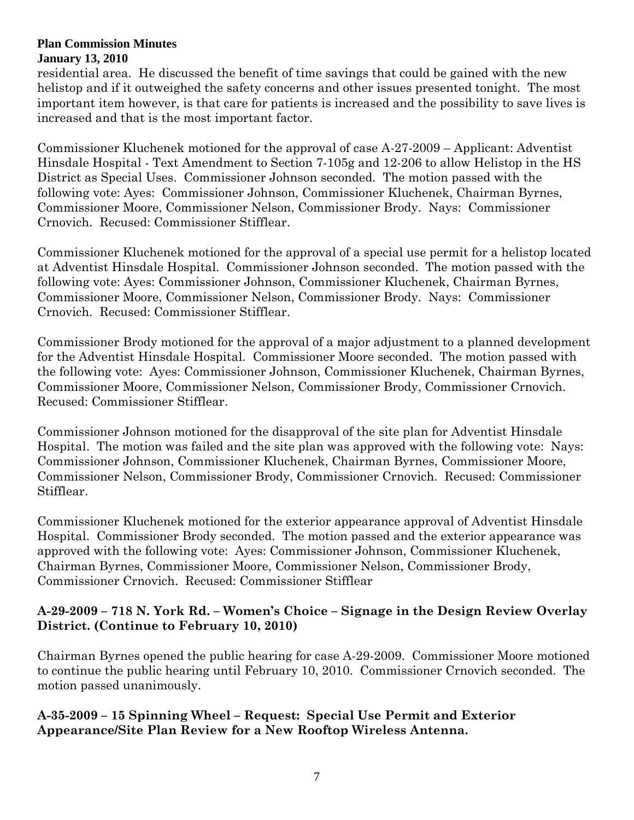residential area. He discussed the benefit of time savings that could be gained with the new helistop and if it outweighed the safety concerns and other issues presented tonight. The most important item however, is that care for patients is increased and the possibility to save lives is increased and that is the most important factor.

Commissioner Kluchenek motioned for the approval of case A-27-2009 – Applicant: Adventist Hinsdale Hospital - Text Amendment to Section 7-105g and 12-206 to allow Helistop in the HS District as Special Uses. Commissioner Johnson seconded. The motion passed with the following vote: Ayes: Commissioner Johnson, Commissioner Kluchenek, Chairman Byrnes, Commissioner Moore, Commissioner Nelson, Commissioner Brody. Nays: Commissioner Crnovich. Recused: Commissioner Stifflear.

Commissioner Kluchenek motioned for the approval of a special use permit for a helistop located at Adventist Hinsdale Hospital. Commissioner Johnson seconded. The motion passed with the following vote: Ayes: Commissioner Johnson, Commissioner Kluchenek, Chairman Byrnes, Commissioner Moore, Commissioner Nelson, Commissioner Brody. Nays: Commissioner Crnovich. Recused: Commissioner Stifflear.

Commissioner Brody motioned for the approval of a major adjustment to a planned development for the Adventist Hinsdale Hospital. Commissioner Moore seconded. The motion passed with the following vote: Ayes: Commissioner Johnson, Commissioner Kluchenek, Chairman Byrnes, Commissioner Moore, Commissioner Nelson, Commissioner Brody, Commissioner Crnovich. Recused: Commissioner Stifflear.

Commissioner Johnson motioned for the disapproval of the site plan for Adventist Hinsdale Hospital. The motion was failed and the site plan was approved with the following vote: Nays: Commissioner Johnson, Commissioner Kluchenek, Chairman Byrnes, Commissioner Moore, Commissioner Nelson, Commissioner Brody, Commissioner Crnovich. Recused: Commissioner Stifflear.

Commissioner Kluchenek motioned for the exterior appearance approval of Adventist Hinsdale Hospital. Commissioner Brody seconded. The motion passed and the exterior appearance was approved with the following vote: Ayes: Commissioner Johnson, Commissioner Kluchenek, Chairman Byrnes, Commissioner Moore, Commissioner Nelson, Commissioner Brody, Commissioner Crnovich. Recused: Commissioner Stifflear

### **A-29-2009 – 718 N. York Rd. – Women's Choice – Signage in the Design Review Overlay District. (Continue to February 10, 2010)**

Chairman Byrnes opened the public hearing for case A-29-2009. Commissioner Moore motioned to continue the public hearing until February 10, 2010. Commissioner Crnovich seconded. The motion passed unanimously.

### **A-35-2009 – 15 Spinning Wheel – Request: Special Use Permit and Exterior Appearance/Site Plan Review for a New Rooftop Wireless Antenna.**